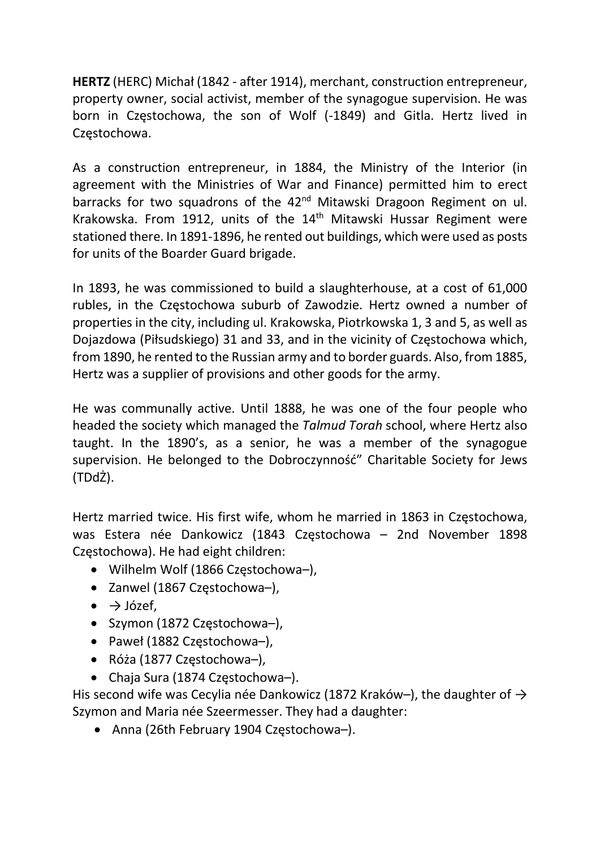HERTZ (HERC) Michał (1842 - after 1914), merchant, construction entrepreneur, property owner, social activist, member of the synagogue supervision. He was born in Częstochowa, the son of Wolf (-1849) and Gitla. Hertz lived in Częstochowa.

As a construction entrepreneur, in 1884, the Ministry of the Interior (in agreement with the Ministries of War and Finance) permitted him to erect barracks for two squadrons of the 42<sup>nd</sup> Mitawski Dragoon Regiment on ul. Krakowska. From 1912, units of the  $14<sup>th</sup>$  Mitawski Hussar Regiment were stationed there. In 1891-1896, he rented out buildings, which were used as posts for units of the Boarder Guard brigade.

In 1893, he was commissioned to build a slaughterhouse, at a cost of 61,000 rubles, in the Częstochowa suburb of Zawodzie. Hertz owned a number of properties in the city, including ul. Krakowska, Piotrkowska 1, 3 and 5, as well as Dojazdowa (Piłsudskiego) 31 and 33, and in the vicinity of Częstochowa which, from 1890, he rented to the Russian army and to border guards. Also, from 1885, Hertz was a supplier of provisions and other goods for the army.

He was communally active. Until 1888, he was one of the four people who headed the society which managed the Talmud Torah school, where Hertz also taught. In the 1890's, as a senior, he was a member of the synagogue supervision. He belonged to the Dobroczynność" Charitable Society for Jews (TDdŻ).

Hertz married twice. His first wife, whom he married in 1863 in Częstochowa, was Estera née Dankowicz (1843 Częstochowa – 2nd November 1898 Częstochowa). He had eight children:

- Wilhelm Wolf (1866 Częstochowa–),
- Zanwel (1867 Częstochowa-),
- $\bullet \quad \rightarrow$  Józef,
- Szymon (1872 Częstochowa-),
- Paweł (1882 Częstochowa-),
- Róża (1877 Częstochowa–),
- Chaja Sura (1874 Częstochowa–).

His second wife was Cecylia née Dankowicz (1872 Kraków–), the daughter of  $\rightarrow$ Szymon and Maria née Szeermesser. They had a daughter:

Anna (26th February 1904 Częstochowa–).